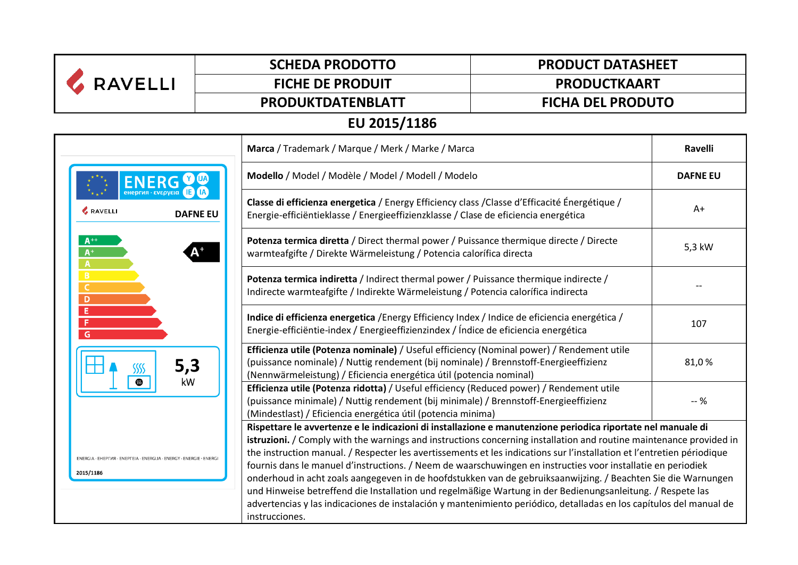| <b>RAVELLI</b>                | <b>SCHEDA PRODOTTO</b>                                                                                                                                                                                                                                                                                                                                                                                                                                                                                                                                                                                                                                                                                                                                                                                                                                                                                                       | <b>PRODUCT DATASHEET</b>                                                                                                                                                                                                                                 |                 |  |  |
|-------------------------------|------------------------------------------------------------------------------------------------------------------------------------------------------------------------------------------------------------------------------------------------------------------------------------------------------------------------------------------------------------------------------------------------------------------------------------------------------------------------------------------------------------------------------------------------------------------------------------------------------------------------------------------------------------------------------------------------------------------------------------------------------------------------------------------------------------------------------------------------------------------------------------------------------------------------------|----------------------------------------------------------------------------------------------------------------------------------------------------------------------------------------------------------------------------------------------------------|-----------------|--|--|
|                               | <b>FICHE DE PRODUIT</b>                                                                                                                                                                                                                                                                                                                                                                                                                                                                                                                                                                                                                                                                                                                                                                                                                                                                                                      | <b>PRODUCTKAART</b>                                                                                                                                                                                                                                      |                 |  |  |
|                               | PRODUKTDATENBLATT                                                                                                                                                                                                                                                                                                                                                                                                                                                                                                                                                                                                                                                                                                                                                                                                                                                                                                            | <b>FICHA DEL PRODUTO</b>                                                                                                                                                                                                                                 |                 |  |  |
| EU 2015/1186                  |                                                                                                                                                                                                                                                                                                                                                                                                                                                                                                                                                                                                                                                                                                                                                                                                                                                                                                                              |                                                                                                                                                                                                                                                          |                 |  |  |
|                               | Marca / Trademark / Marque / Merk / Marke / Marca                                                                                                                                                                                                                                                                                                                                                                                                                                                                                                                                                                                                                                                                                                                                                                                                                                                                            |                                                                                                                                                                                                                                                          | Ravelli         |  |  |
|                               | Modello / Model / Modèle / Model / Modell / Modelo                                                                                                                                                                                                                                                                                                                                                                                                                                                                                                                                                                                                                                                                                                                                                                                                                                                                           |                                                                                                                                                                                                                                                          | <b>DAFNE EU</b> |  |  |
| <b>&amp; RAVELLI</b>          | <b>DAFNE EU</b>                                                                                                                                                                                                                                                                                                                                                                                                                                                                                                                                                                                                                                                                                                                                                                                                                                                                                                              | Classe di efficienza energetica / Energy Efficiency class / Classe d'Efficacité Énergétique /<br>Energie-efficiëntieklasse / Energieeffizienzklasse / Clase de eficiencia energética                                                                     |                 |  |  |
| $A^+$<br>$A^+$<br>A           |                                                                                                                                                                                                                                                                                                                                                                                                                                                                                                                                                                                                                                                                                                                                                                                                                                                                                                                              | Potenza termica diretta / Direct thermal power / Puissance thermique directe / Directe<br>warmteafgifte / Direkte Wärmeleistung / Potencia calorífica directa                                                                                            |                 |  |  |
| B<br>$\mathsf{C}$<br>D        |                                                                                                                                                                                                                                                                                                                                                                                                                                                                                                                                                                                                                                                                                                                                                                                                                                                                                                                              | Potenza termica indiretta / Indirect thermal power / Puissance thermique indirecte /<br>Indirecte warmteafgifte / Indirekte Wärmeleistung / Potencia calorífica indirecta                                                                                |                 |  |  |
| Έ<br>F<br>G<br>5,3<br>kW<br>▧ |                                                                                                                                                                                                                                                                                                                                                                                                                                                                                                                                                                                                                                                                                                                                                                                                                                                                                                                              | Indice di efficienza energetica /Energy Efficiency Index / Indice de eficiencia energética /<br>Energie-efficiëntie-index / Energieeffizienzindex / Índice de eficiencia energética                                                                      |                 |  |  |
|                               |                                                                                                                                                                                                                                                                                                                                                                                                                                                                                                                                                                                                                                                                                                                                                                                                                                                                                                                              | Efficienza utile (Potenza nominale) / Useful efficiency (Nominal power) / Rendement utile<br>(puissance nominale) / Nuttig rendement (bij nominale) / Brennstoff-Energieeffizienz<br>(Nennwärmeleistung) / Eficiencia energética útil (potencia nominal) |                 |  |  |
|                               |                                                                                                                                                                                                                                                                                                                                                                                                                                                                                                                                                                                                                                                                                                                                                                                                                                                                                                                              | Efficienza utile (Potenza ridotta) / Useful efficiency (Reduced power) / Rendement utile<br>(puissance minimale) / Nuttig rendement (bij minimale) / Brennstoff-Energieeffizienz<br>(Mindestlast) / Eficiencia energética útil (potencia minima)         |                 |  |  |
| 2015/1186                     | Rispettare le avvertenze e le indicazioni di installazione e manutenzione periodica riportate nel manuale di<br>istruzioni. / Comply with the warnings and instructions concerning installation and routine maintenance provided in<br>the instruction manual. / Respecter les avertissements et les indications sur l'installation et l'entretien périodique<br>ENERGIA · EHEPFIA · ENEPFEIA · ENERGIJA · ENERGY · ENERGIE · ENERGI<br>fournis dans le manuel d'instructions. / Neem de waarschuwingen en instructies voor installatie en periodiek<br>onderhoud in acht zoals aangegeven in de hoofdstukken van de gebruiksaanwijzing. / Beachten Sie die Warnungen<br>und Hinweise betreffend die Installation und regelmäßige Wartung in der Bedienungsanleitung. / Respete las<br>advertencias y las indicaciones de instalación y mantenimiento periódico, detalladas en los capítulos del manual de<br>instrucciones. |                                                                                                                                                                                                                                                          |                 |  |  |